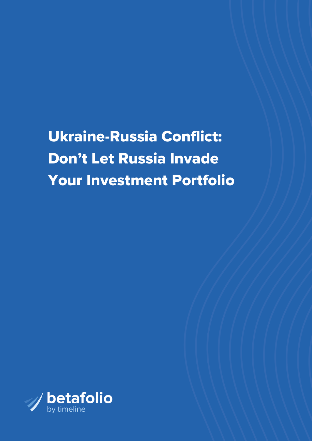Ukraine-Russia Conflict: Don't Let Russia Invade Your Investment Portfolio

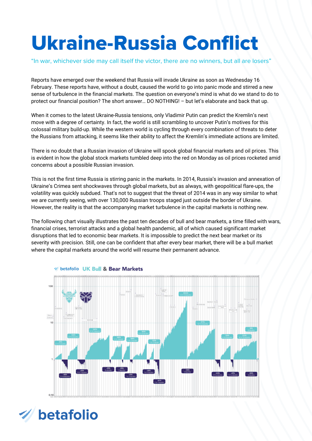## Ukraine-Russia Conflict

"In war, whichever side may call itself the victor, there are no winners, but all are losers"

Reports have emerged over the weekend that Russia will invade Ukraine as soon as Wednesday 16 February. These reports have, without a doubt, caused the world to go into panic mode and stirred a new sense of turbulence in the financial markets. The question on everyone's mind is what do we stand to do to protect our financial position? The short answer… DO NOTHING! – but let's elaborate and back that up.

When it comes to the latest Ukraine-Russia tensions, only Vladimir Putin can predict the Kremlin's next move with a degree of certainty. In fact, the world is still scrambling to uncover Putin's motives for this colossal military build-up. While the western world is cycling through every combination of threats to deter the Russians from attacking, it seems like their ability to affect the Kremlin's immediate actions are limited.

There is no doubt that a Russian invasion of Ukraine will spook global financial markets and oil prices. This is evident in how the global stock markets tumbled deep into the red on Monday as oil prices rocketed amid concerns about a possible Russian invasion.

This is not the first time Russia is stirring panic in the markets. In 2014, Russia's invasion and annexation of Ukraine's Crimea sent shockwaves through global markets, but as always, with geopolitical flare-ups, the volatility was quickly subdued. That's not to suggest that the threat of 2014 was in any way similar to what we are currently seeing, with over 130,000 Russian troops staged just outside the border of Ukraine. However, the reality is that the accompanying market turbulence in the capital markets is nothing new.

The following chart visually illustrates the past ten decades of bull and bear markets, a time filled with wars, financial crises, terrorist attacks and a global health pandemic, all of which caused significant market disruptions that led to economic bear markets. It is impossible to predict the next bear market or its severity with precision. Still, one can be confident that after every bear market, there will be a bull market where the capital markets around the world will resume their permanent advance.



## Solution UK Bull & Bear Markets

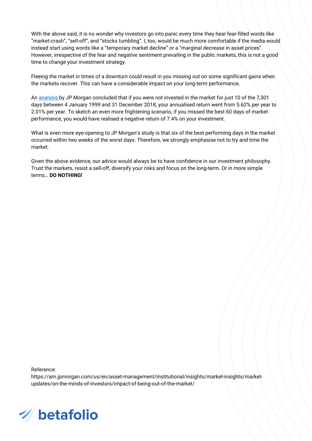With the above said, it is no wonder why investors go into panic every time they hear fear-filled words like "market-crash", "sell-off", and "stocks tumbling". I, too, would be much more comfortable if the media would instead start using words like a "temporary market decline" or a "marginal decrease in asset prices". However, irrespective of the fear and negative sentiment prevailing in the public markets, this is not a good time to change your investment strategy.

Fleeing the market in times of a downturn could result in you missing out on some significant gains when the markets recover. This can have a considerable impact on your long-term performance.

An [analysis](https://am.jpmorgan.com/us/en/asset-management/institutional/insights/market-insights/market-updates/on-the-minds-of-investors/impact-of-being-out-of-the-market/) by JP Morgan concluded that if you were not invested in the market for just 10 of the 7,301 days between 4 January 1999 and 31 December 2018, your annualised return went from 5.62% per year to 2.01% per year. To sketch an even more frightening scenario, if you missed the best 60 days of market performance, you would have realised a negative return of 7.4% on your investment.

What is even more eye-opening to JP Morgan's study is that six of the best performing days in the market occurred within two weeks of the worst days. Therefore, we strongly emphasise not to try and time the market.

Given the above evidence, our advice would always be to have confidence in our investment philosophy. Trust the markets, resist a sell-off, diversify your risks and focus on the long-term. Or in more simple terms… **DO NOTHING!**

Reference:

[https://am.jpmorgan.com/us/en/asset-management/institutional/insights/market-insights/market](https://am.jpmorgan.com/us/en/asset-management/institutional/insights/market-insights/market-updates/on-the-minds-of-investors/impact-of-being-out-of-the-market/)updates/on-the-minds-of-investors/impact-of-being-out-of-the-market/